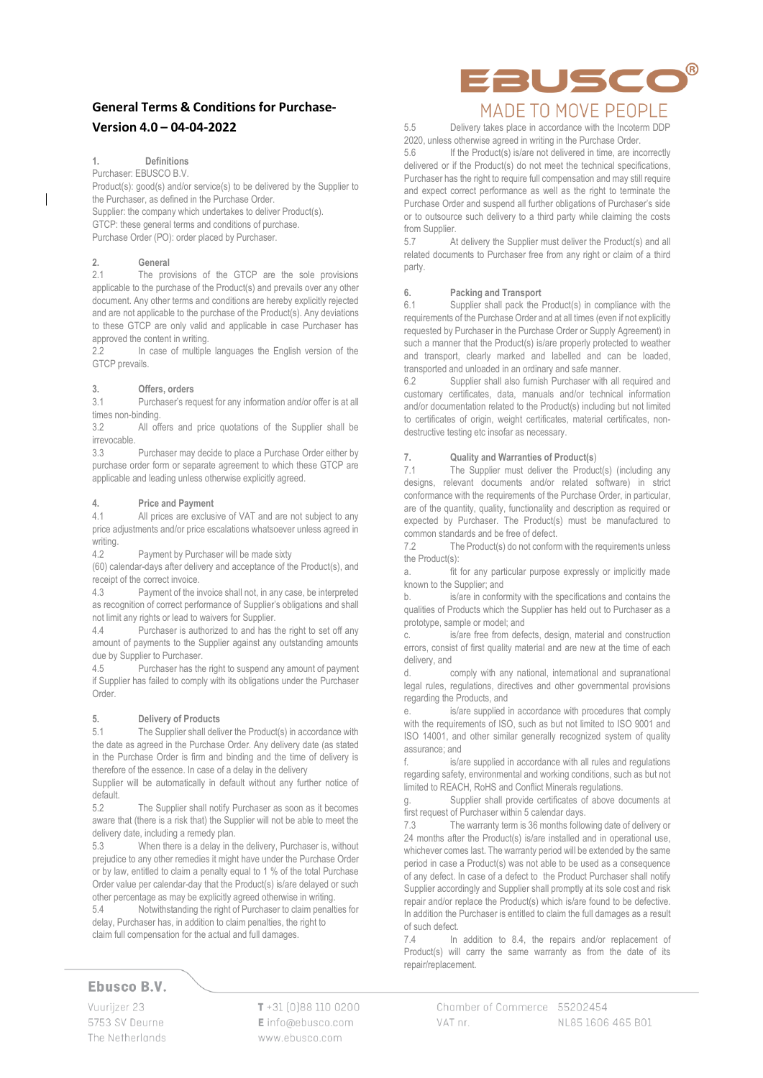## **General Terms & Conditions for Purchase-Version 4.0 – 04-04-2022**

#### **1. Definitions**

Purchaser: EBUSCO B.V.

Product(s): good(s) and/or service(s) to be delivered by the Supplier to the Purchaser, as defined in the Purchase Order.

Supplier: the company which undertakes to deliver Product(s). GTCP: these general terms and conditions of purchase. Purchase Order (PO): order placed by Purchaser.

# **2. General**<br>**2.1 The pro**

The provisions of the GTCP are the sole provisions applicable to the purchase of the Product(s) and prevails over any other document. Any other terms and conditions are hereby explicitly rejected and are not applicable to the purchase of the Product(s). Any deviations to these GTCP are only valid and applicable in case Purchaser has approved the content in writing.

2.2 In case of multiple languages the English version of the GTCP prevails.

#### **3. Offers, orders**

3.1 Purchaser's request for any information and/or offer is at all times non-binding.

3.2 All offers and price quotations of the Supplier shall be irrevocable.

3.3 Purchaser may decide to place a Purchase Order either by purchase order form or separate agreement to which these GTCP are applicable and leading unless otherwise explicitly agreed.

#### **4. Price and Payment**

4.1 All prices are exclusive of VAT and are not subject to any price adjustments and/or price escalations whatsoever unless agreed in writing.

4.2 Payment by Purchaser will be made sixty

(60) calendar-days after delivery and acceptance of the Product(s), and receipt of the correct invoice.

4.3 Payment of the invoice shall not, in any case, be interpreted as recognition of correct performance of Supplier's obligations and shall not limit any rights or lead to waivers for Supplier.

4.4 Purchaser is authorized to and has the right to set off any amount of payments to the Supplier against any outstanding amounts due by Supplier to Purchaser.

4.5 Purchaser has the right to suspend any amount of payment if Supplier has failed to comply with its obligations under the Purchaser Order.

#### **5. Delivery of Products**

5.1 The Supplier shall deliver the Product(s) in accordance with the date as agreed in the Purchase Order. Any delivery date (as stated in the Purchase Order is firm and binding and the time of delivery is therefore of the essence. In case of a delay in the delivery

Supplier will be automatically in default without any further notice of default.

5.2 The Supplier shall notify Purchaser as soon as it becomes aware that (there is a risk that) the Supplier will not be able to meet the delivery date, including a remedy plan.

5.3 When there is a delay in the delivery, Purchaser is, without prejudice to any other remedies it might have under the Purchase Order or by law, entitled to claim a penalty equal to 1 % of the total Purchase Order value per calendar-day that the Product(s) is/are delayed or such other percentage as may be explicitly agreed otherwise in writing.

5.4 Notwithstanding the right of Purchaser to claim penalties for delay, Purchaser has, in addition to claim penalties, the right to claim full compensation for the actual and full damages.

## Ebusco B.V.

Vuuriizer 23 5753 SV Deurne The Netherlands  $T + 31$  [0]88 110 0200 Einfo@ebusco.com www.ebusco.com



5.5 Delivery takes place in accordance with the Incoterm DDP 2020, unless otherwise agreed in writing in the Purchase Order.<br>5.6 If the Product(s) is/are not delivered in time are in

If the Product(s) is/are not delivered in time, are incorrectly delivered or if the Product(s) do not meet the technical specifications, Purchaser has the right to require full compensation and may still require and expect correct performance as well as the right to terminate the Purchase Order and suspend all further obligations of Purchaser's side or to outsource such delivery to a third party while claiming the costs from Supplier.

5.7 At delivery the Supplier must deliver the Product(s) and all related documents to Purchaser free from any right or claim of a third party.

#### **6. Packing and Transport**

6.1 Supplier shall pack the Product(s) in compliance with the requirements of the Purchase Order and at all times (even if not explicitly requested by Purchaser in the Purchase Order or Supply Agreement) in such a manner that the Product(s) is/are properly protected to weather and transport, clearly marked and labelled and can be loaded, transported and unloaded in an ordinary and safe manner.

6.2 Supplier shall also furnish Purchaser with all required and customary certificates, data, manuals and/or technical information and/or documentation related to the Product(s) including but not limited to certificates of origin, weight certificates, material certificates, nondestructive testing etc insofar as necessary.

#### **7. Quality and Warranties of Product(s**)

7.1 The Supplier must deliver the Product(s) (including any designs, relevant documents and/or related software) in strict conformance with the requirements of the Purchase Order, in particular, are of the quantity, quality, functionality and description as required or expected by Purchaser. The Product(s) must be manufactured to common standards and be free of defect.

7.2 The Product(s) do not conform with the requirements unless the Product(s):

a. fit for any particular purpose expressly or implicitly made known to the Supplier; and

b. is/are in conformity with the specifications and contains the qualities of Products which the Supplier has held out to Purchaser as a prototype, sample or model; and

c. is/are free from defects, design, material and construction errors, consist of first quality material and are new at the time of each delivery, and

d. comply with any national, international and supranational legal rules, regulations, directives and other governmental provisions regarding the Products, and

e. is/are supplied in accordance with procedures that comply with the requirements of ISO, such as but not limited to ISO 9001 and ISO 14001, and other similar generally recognized system of quality assurance; and

is/are supplied in accordance with all rules and regulations regarding safety, environmental and working conditions, such as but not limited to REACH, RoHS and Conflict Minerals regulations.

Supplier shall provide certificates of above documents at first request of Purchaser within 5 calendar days.

7.3 The warranty term is 36 months following date of delivery or 24 months after the Product(s) is/are installed and in operational use. whichever comes last. The warranty period will be extended by the same period in case a Product(s) was not able to be used as a consequence of any defect. In case of a defect to the Product Purchaser shall notify Supplier accordingly and Supplier shall promptly at its sole cost and risk repair and/or replace the Product(s) which is/are found to be defective. In addition the Purchaser is entitled to claim the full damages as a result of such defect.

7.4 In addition to 8.4, the repairs and/or replacement of Product(s) will carry the same warranty as from the date of its repair/replacement.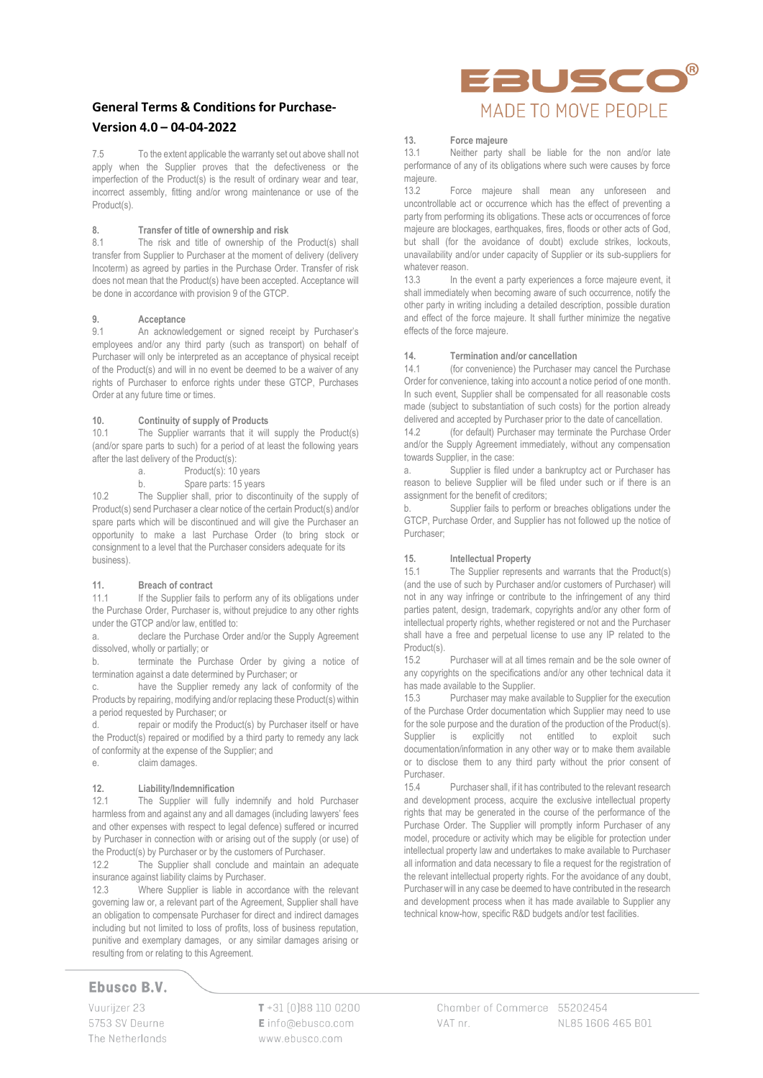## **General Terms & Conditions for Purchase-Version 4.0 – 04-04-2022**

7.5 To the extent applicable the warranty set out above shall not apply when the Supplier proves that the defectiveness or the imperfection of the Product(s) is the result of ordinary wear and tear, incorrect assembly, fitting and/or wrong maintenance or use of the Product(s).

#### **8. Transfer of title of ownership and risk**

8.1 The risk and title of ownership of the Product(s) shall transfer from Supplier to Purchaser at the moment of delivery (delivery Incoterm) as agreed by parties in the Purchase Order. Transfer of risk does not mean that the Product(s) have been accepted. Acceptance will be done in accordance with provision 9 of the GTCP.

# **9. Acceptance**

An acknowledgement or signed receipt by Purchaser's employees and/or any third party (such as transport) on behalf of Purchaser will only be interpreted as an acceptance of physical receipt of the Product(s) and will in no event be deemed to be a waiver of any rights of Purchaser to enforce rights under these GTCP, Purchases Order at any future time or times.

#### **10. Continuity of supply of Products**

10.1 The Supplier warrants that it will supply the Product(s) (and/or spare parts to such) for a period of at least the following years after the last delivery of the Product(s):

- a. Product(s): 10 years
- b. Spare parts: 15 years

10.2 The Supplier shall, prior to discontinuity of the supply of Product(s) send Purchaser a clear notice of the certain Product(s) and/or spare parts which will be discontinued and will give the Purchaser an opportunity to make a last Purchase Order (to bring stock or consignment to a level that the Purchaser considers adequate for its business).

#### **11. Breach of contract**

11.1 If the Supplier fails to perform any of its obligations under the Purchase Order, Purchaser is, without prejudice to any other rights under the GTCP and/or law, entitled to:

a. declare the Purchase Order and/or the Supply Agreement dissolved, wholly or partially; or

b. terminate the Purchase Order by giving a notice of termination against a date determined by Purchaser; or

c. have the Supplier remedy any lack of conformity of the Products by repairing, modifying and/or replacing these Product(s) within a period requested by Purchaser; or

d. repair or modify the Product(s) by Purchaser itself or have the Product(s) repaired or modified by a third party to remedy any lack of conformity at the expense of the Supplier; and e. claim damages.

## **12. Liability/Indemnification**

12.1 The Supplier will fully indemnify and hold Purchaser harmless from and against any and all damages (including lawyers' fees and other expenses with respect to legal defence) suffered or incurred by Purchaser in connection with or arising out of the supply (or use) of the Product(s) by Purchaser or by the customers of Purchaser.<br>12.2. The Supplier shall conclude and maintain an

 $\overrightarrow{1}$ . The Supplier shall conclude and maintain an adequate insurance against liability claims by Purchaser.

12.3 Where Supplier is liable in accordance with the relevant governing law or, a relevant part of the Agreement, Supplier shall have an obligation to compensate Purchaser for direct and indirect damages including but not limited to loss of profits, loss of business reputation, punitive and exemplary damages, or any similar damages arising or resulting from or relating to this Agreement.

## Ebusco B.V.

Vuurijzer 23 5753 SV Deurne The Netherlands  $T + 31$  [0]88 110 0200 Einfo@ebusco.com www.ebusco.com



## **13. Force majeure**

Neither party shall be liable for the non and/or late performance of any of its obligations where such were causes by force majeure.<br>13.2

Force majeure shall mean any unforeseen and uncontrollable act or occurrence which has the effect of preventing a party from performing its obligations. These acts or occurrences of force majeure are blockages, earthquakes, fires, floods or other acts of God, but shall (for the avoidance of doubt) exclude strikes, lockouts, unavailability and/or under capacity of Supplier or its sub-suppliers for whatever reason.<br> $13.3$  ln the

In the event a party experiences a force majeure event, it shall immediately when becoming aware of such occurrence, notify the other party in writing including a detailed description, possible duration and effect of the force majeure. It shall further minimize the negative effects of the force majeure.

#### **14. Termination and/or cancellation**

14.1 (for convenience) the Purchaser may cancel the Purchase Order for convenience, taking into account a notice period of one month. In such event, Supplier shall be compensated for all reasonable costs made (subject to substantiation of such costs) for the portion already delivered and accepted by Purchaser prior to the date of cancellation.

14.2 (for default) Purchaser may terminate the Purchase Order and/or the Supply Agreement immediately, without any compensation towards Supplier, in the case:

a. Supplier is filed under a bankruptcy act or Purchaser has reason to believe Supplier will be filed under such or if there is an assignment for the benefit of creditors;

b. Supplier fails to perform or breaches obligations under the GTCP, Purchase Order, and Supplier has not followed up the notice of Purchaser;

#### **15. Intellectual Property**

15.1 The Supplier represents and warrants that the Product(s) (and the use of such by Purchaser and/or customers of Purchaser) will not in any way infringe or contribute to the infringement of any third parties patent, design, trademark, copyrights and/or any other form of intellectual property rights, whether registered or not and the Purchaser shall have a free and perpetual license to use any IP related to the Product(s).

15.2 Purchaser will at all times remain and be the sole owner of any copyrights on the specifications and/or any other technical data it has made available to the Supplier.<br>15.3 Purchaser may make a

Purchaser may make available to Supplier for the execution of the Purchase Order documentation which Supplier may need to use for the sole purpose and the duration of the production of the Product(s). Supplier is explicitly not entitled to exploit such documentation/information in any other way or to make them available or to disclose them to any third party without the prior consent of Purchaser.

15.4 Purchaser shall, if it has contributed to the relevant research and development process, acquire the exclusive intellectual property rights that may be generated in the course of the performance of the Purchase Order. The Supplier will promptly inform Purchaser of any model, procedure or activity which may be eligible for protection under intellectual property law and undertakes to make available to Purchaser all information and data necessary to file a request for the registration of the relevant intellectual property rights. For the avoidance of any doubt, Purchaser will in any case be deemed to have contributed in the research and development process when it has made available to Supplier any technical know-how, specific R&D budgets and/or test facilities.